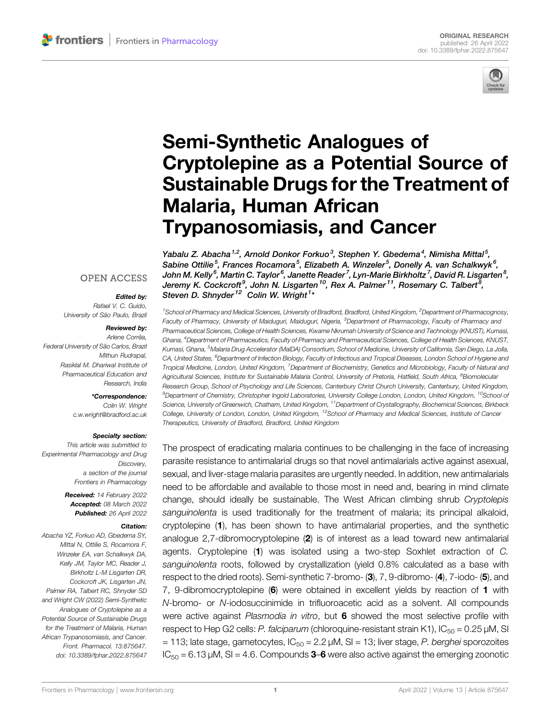

# [Semi-Synthetic Analogues of](https://www.frontiersin.org/articles/10.3389/fphar.2022.875647/full) [Cryptolepine as a Potential Source of](https://www.frontiersin.org/articles/10.3389/fphar.2022.875647/full) [Sustainable Drugs for the Treatment of](https://www.frontiersin.org/articles/10.3389/fphar.2022.875647/full) [Malaria, Human African](https://www.frontiersin.org/articles/10.3389/fphar.2022.875647/full) [Trypanosomiasis, and Cancer](https://www.frontiersin.org/articles/10.3389/fphar.2022.875647/full)

Yabalu Z. Abacha<sup>1,2</sup>, Arnold Donkor Forkuo<sup>3</sup>, Stephen Y. Gbedema<sup>4</sup>, Nimisha Mittal<sup>5</sup>, Sabine Ottilie<sup>5</sup>, Frances Rocamora<sup>5</sup>, Elizabeth A. Winzeler<sup>5</sup>, Donelly A. van Schalkwyk<sup>6</sup>, John M. Kelly<sup>6</sup>, Martin C. Taylor<sup>6</sup>, Janette Reader<sup>7</sup>, Lyn-Marie Birkholtz<sup>7</sup>, David R. Lisgarten<sup>8</sup>, Jeremy K. Cockcroft<sup>9</sup>, John N. Lisgarten <sup>10</sup>, Rex A. Palmer <sup>11</sup>, Rosemary C. Talbert<sup>8</sup>, Steven D. Shnyder<sup>12</sup> Colin W. Wright<sup>1</sup>\*

### **OPEN ACCESS**

### Edited by:

Rafael V. C. Guido, University of São Paulo, Brazil

#### Reviewed by:

Arlene Corrêa, Federal University of São Carlos, Brazil Mithun Rudrapal, Rasiklal M. Dhariwal Institute of Pharmaceutical Education and Research, India

#### \*Correspondence:

Colin W. Wright [c.w.wright@bradford.ac.uk](mailto:c.w.wright@bradford.ac.uk)

#### Specialty section:

This article was submitted to Experimental Pharmacology and Drug Discovery, a section of the journal Frontiers in Pharmacology

> Received: 14 February 2022 Accepted: 08 March 2022 Published: 26 April 2022

#### Citation:

Abacha YZ, Forkuo AD, Gbedema SY, Mittal N, Ottilie S, Rocamora F, Winzeler EA, van Schalkwyk DA, Kelly JM, Taylor MC, Reader J, Birkholtz L-M Lisgarten DR, Cockcroft JK, Lisgarten JN, Palmer RA, Talbert RC, Shnyder SD and Wright CW (2022) Semi-Synthetic Analogues of Cryptolepine as a Potential Source of Sustainable Drugs for the Treatment of Malaria, Human African Trypanosomiasis, and Cancer. Front. Pharmacol. 13:875647. doi: [10.3389/fphar.2022.875647](https://doi.org/10.3389/fphar.2022.875647)

<sup>1</sup> School of Pharmacy and Medical Sciences, University of Bradford, Bradford, United Kingdom, <sup>2</sup>Department of Pharmacognosy, Faculty of Pharmacy, University of Maiduguri, Maiduguri, Nigeria, <sup>3</sup>Department of Pharmacology, Faculty of Pharmacy and Pharmaceutical Sciences, College of Health Sciences, Kwame Nkrumah University of Science and Technology (KNUST), Kumasi, Ghana, <sup>4</sup> Department of Pharmaceutics, Faculty of Pharmacy and Pharmaceutical Sciences, College of Health Sciences, KNUST, Kumasi, Ghana, <sup>5</sup>Malaria Drug Accelerator (MalDA) Consortium, School of Medicine, University of California, San Diego, La Jolla, CA, United States, <sup>6</sup>Department of Infection Biology, Faculty of Infectious and Tropical Diseases, London School of Hygiene and Tropical Medicine, London, United Kingdom, <sup>7</sup>Department of Biochemistry, Genetics and Microbiology, Faculty of Natural and Agricultural Sciences, Institute for Sustainable Malaria Control, University of Pretoria, Hatfield, South Africa, <sup>8</sup>Biomolecular Research Group, School of Psychology and Life Sciences, Canterbury Christ Church University, Canterbury, United Kingdom, <sup>9</sup>Department of Chemistry, Christopher Ingold Laboratories, University College London, London, United Kingdom, <sup>10</sup>School oi Science, University of Greenwich, Chatham, United Kingdom, <sup>11</sup>Department of Crystallography, Biochemical Sciences, Birkbeck College, University of London, London, United Kingdom, <sup>12</sup>School of Pharmacy and Medical Sciences, Institute of Cancer Therapeutics, University of Bradford, Bradford, United Kingdom

The prospect of eradicating malaria continues to be challenging in the face of increasing parasite resistance to antimalarial drugs so that novel antimalarials active against asexual, sexual, and liver-stage malaria parasites are urgently needed. In addition, new antimalarials need to be affordable and available to those most in need and, bearing in mind climate change, should ideally be sustainable. The West African climbing shrub Cryptolepis sanguinolenta is used traditionally for the treatment of malaria; its principal alkaloid, cryptolepine (1), has been shown to have antimalarial properties, and the synthetic analogue 2,7-dibromocryptolepine (2) is of interest as a lead toward new antimalarial agents. Cryptolepine (1) was isolated using a two-step Soxhlet extraction of C. sanguinolenta roots, followed by crystallization (yield 0.8% calculated as a base with respect to the dried roots). Semi-synthetic 7-bromo- (3), 7, 9-dibromo- (4), 7-iodo- (5), and 7, 9-dibromocryptolepine (6) were obtained in excellent yields by reaction of 1 with N-bromo- or N-iodosuccinimide in trifluoroacetic acid as a solvent. All compounds were active against Plasmodia in vitro, but 6 showed the most selective profile with respect to Hep G2 cells: P. falciparum (chloroquine-resistant strain K1),  $IC_{50} = 0.25 \mu M$ , SI = 113; late stage, gametocytes,  $IC_{50} = 2.2 \mu M$ , SI = 13; liver stage, P. berghei sporozoites  $IC_{50} = 6.13 \mu M$ , SI = 4.6. Compounds **3–6** were also active against the emerging zoonotic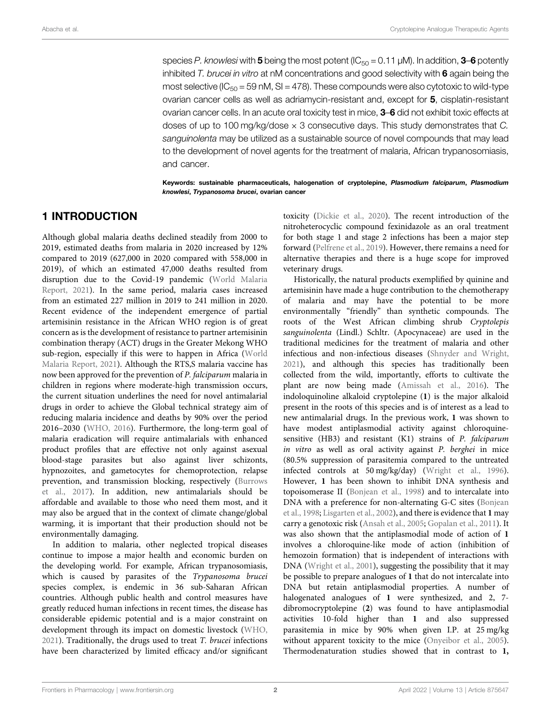species P. knowlesi with 5 being the most potent ( $IC_{50} = 0.11 \mu M$ ). In addition, 3–6 potently inhibited T. brucei in vitro at nM concentrations and good selectivity with  $6$  again being the most selective ( $IC_{50} = 59$  nM, SI = 478). These compounds were also cytotoxic to wild-type ovarian cancer cells as well as adriamycin-resistant and, except for 5, cisplatin-resistant ovarian cancer cells. In an acute oral toxicity test in mice, 3–6 did not exhibit toxic effects at doses of up to 100 mg/kg/dose  $\times$  3 consecutive days. This study demonstrates that C. sanguinolenta may be utilized as a sustainable source of novel compounds that may lead to the development of novel agents for the treatment of malaria, African trypanosomiasis, and cancer.

Keywords: sustainable pharmaceuticals, halogenation of cryptolepine, Plasmodium falciparum, Plasmodium knowlesi, Trypanosoma brucei, ovarian cancer

## 1 INTRODUCTION

Although global malaria deaths declined steadily from 2000 to 2019, estimated deaths from malaria in 2020 increased by 12% compared to 2019 (627,000 in 2020 compared with 558,000 in 2019), of which an estimated 47,000 deaths resulted from disruption due to the Covid-19 pandemic [\(World Malaria](#page-10-0) [Report, 2021\)](#page-10-0). In the same period, malaria cases increased from an estimated 227 million in 2019 to 241 million in 2020. Recent evidence of the independent emergence of partial artemisinin resistance in the African WHO region is of great concern as is the development of resistance to partner artemisinin combination therapy (ACT) drugs in the Greater Mekong WHO sub-region, especially if this were to happen in Africa [\(World](#page-10-0) [Malaria Report, 2021](#page-10-0)). Although the RTS,S malaria vaccine has now been approved for the prevention of P. falciparum malaria in children in regions where moderate-high transmission occurs, the current situation underlines the need for novel antimalarial drugs in order to achieve the Global technical strategy aim of reducing malaria incidence and deaths by 90% over the period 2016–2030 ([WHO, 2016](#page-10-1)). Furthermore, the long-term goal of malaria eradication will require antimalarials with enhanced product profiles that are effective not only against asexual blood-stage parasites but also against liver schizonts, hypnozoites, and gametocytes for chemoprotection, relapse prevention, and transmission blocking, respectively [\(Burrows](#page-10-2) [et al., 2017\)](#page-10-2). In addition, new antimalarials should be affordable and available to those who need them most, and it may also be argued that in the context of climate change/global warming, it is important that their production should not be environmentally damaging.

In addition to malaria, other neglected tropical diseases continue to impose a major health and economic burden on the developing world. For example, African trypanosomiasis, which is caused by parasites of the Trypanosoma brucei species complex, is endemic in 36 sub-Saharan African countries. Although public health and control measures have greatly reduced human infections in recent times, the disease has considerable epidemic potential and is a major constraint on development through its impact on domestic livestock ([WHO,](#page-10-3) [2021](#page-10-3)). Traditionally, the drugs used to treat T. brucei infections have been characterized by limited efficacy and/or significant

toxicity [\(Dickie et al., 2020](#page-10-4)). The recent introduction of the nitroheterocyclic compound fexinidazole as an oral treatment for both stage 1 and stage 2 infections has been a major step forward [\(Pelfrene et al., 2019\)](#page-10-5). However, there remains a need for alternative therapies and there is a huge scope for improved veterinary drugs.

Historically, the natural products exemplified by quinine and artemisinin have made a huge contribution to the chemotherapy of malaria and may have the potential to be more environmentally "friendly" than synthetic compounds. The roots of the West African climbing shrub Cryptolepis sanguinolenta (Lindl.) Schltr. (Apocynaceae) are used in the traditional medicines for the treatment of malaria and other infectious and non-infectious diseases [\(Shnyder and Wright,](#page-10-6) [2021](#page-10-6)), and although this species has traditionally been collected from the wild, importantly, efforts to cultivate the plant are now being made [\(Amissah et al., 2016\)](#page-10-7). The indoloquinoline alkaloid cryptolepine (1) is the major alkaloid present in the roots of this species and is of interest as a lead to new antimalarial drugs. In the previous work, 1 was shown to have modest antiplasmodial activity against chloroquinesensitive (HB3) and resistant (K1) strains of P. falciparum in vitro as well as oral activity against P. berghei in mice (80.5% suppression of parasitemia compared to the untreated infected controls at 50 mg/kg/day) [\(Wright et al., 1996\)](#page-10-8). However, 1 has been shown to inhibit DNA synthesis and topoisomerase II ([Bonjean et al., 1998](#page-9-0)) and to intercalate into DNA with a preference for non-alternating G-C sites ([Bonjean](#page-9-0) [et al., 1998](#page-9-0); [Lisgarten et al., 2002\)](#page-10-9), and there is evidence that 1 may carry a genotoxic risk ([Ansah et al., 2005](#page-9-1); [Gopalan et al., 2011](#page-10-10)). It was also shown that the antiplasmodial mode of action of 1 involves a chloroquine-like mode of action (inhibition of hemozoin formation) that is independent of interactions with DNA [\(Wright et al., 2001](#page-10-11)), suggesting the possibility that it may be possible to prepare analogues of 1 that do not intercalate into DNA but retain antiplasmodial properties. A number of halogenated analogues of 1 were synthesized, and 2, 7 dibromocryptolepine (2) was found to have antiplasmodial activities 10-fold higher than 1 and also suppressed parasitemia in mice by 90% when given I.P. at 25 mg/kg without apparent toxicity to the mice [\(Onyeibor et al., 2005\)](#page-10-12). Thermodenaturation studies showed that in contrast to 1,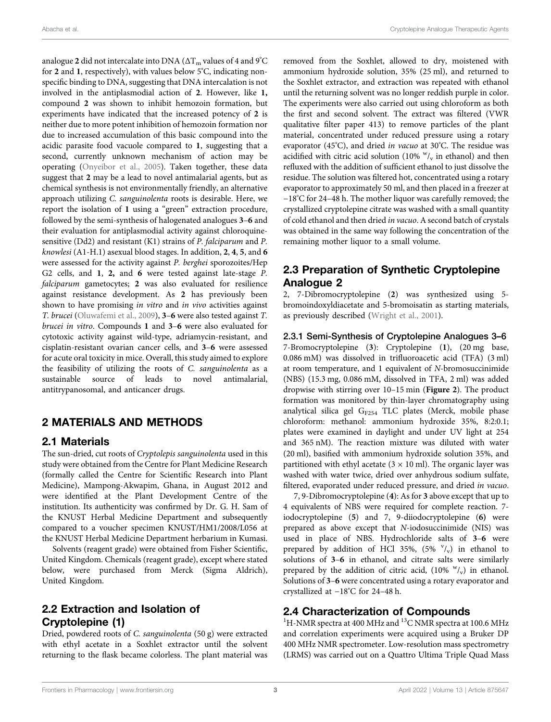analogue 2 did not intercalate into DNA ( $\Delta T_m$  values of 4 and 9°C for 2 and 1, respectively), with values below 5°C, indicating nonspecific binding to DNA, suggesting that DNA intercalation is not involved in the antiplasmodial action of 2. However, like 1, compound 2 was shown to inhibit hemozoin formation, but experiments have indicated that the increased potency of 2 is neither due to more potent inhibition of hemozoin formation nor due to increased accumulation of this basic compound into the acidic parasite food vacuole compared to 1, suggesting that a second, currently unknown mechanism of action may be operating [\(Onyeibor et al., 2005\)](#page-10-12). Taken together, these data suggest that 2 may be a lead to novel antimalarial agents, but as chemical synthesis is not environmentally friendly, an alternative approach utilizing C. sanguinolenta roots is desirable. Here, we report the isolation of 1 using a "green" extraction procedure, followed by the semi-synthesis of halogenated analogues 3–6 and their evaluation for antiplasmodial activity against chloroquinesensitive (Dd2) and resistant (K1) strains of P. falciparum and P. knowlesi (A1-H.1) asexual blood stages. In addition, 2, 4, 5, and 6 were assessed for the activity against P. berghei sporozoites/Hep G2 cells, and 1, 2, and 6 were tested against late-stage P. falciparum gametocytes; 2 was also evaluated for resilience against resistance development. As 2 has previously been shown to have promising in vitro and in vivo activities against T. brucei ([Oluwafemi et al., 2009\)](#page-10-13), 3–6 were also tested against T. brucei in vitro. Compounds 1 and 3–6 were also evaluated for cytotoxic activity against wild-type, adriamycin-resistant, and cisplatin-resistant ovarian cancer cells, and 3–6 were assessed for acute oral toxicity in mice. Overall, this study aimed to explore the feasibility of utilizing the roots of C. sanguinolenta as a sustainable source of leads to novel antimalarial, antitrypanosomal, and anticancer drugs.

## 2 MATERIALS AND METHODS

### 2.1 Materials

The sun-dried, cut roots of Cryptolepis sanguinolenta used in this study were obtained from the Centre for Plant Medicine Research (formally called the Centre for Scientific Research into Plant Medicine), Mampong-Akwapim, Ghana, in August 2012 and were identified at the Plant Development Centre of the institution. Its authenticity was confirmed by Dr. G. H. Sam of the KNUST Herbal Medicine Department and subsequently compared to a voucher specimen KNUST/HM1/2008/L056 at the KNUST Herbal Medicine Department herbarium in Kumasi.

Solvents (reagent grade) were obtained from Fisher Scientific, United Kingdom. Chemicals (reagent grade), except where stated below, were purchased from Merck (Sigma Aldrich), United Kingdom.

# 2.2 Extraction and Isolation of Cryptolepine (1)

Dried, powdered roots of C. sanguinolenta (50 g) were extracted with ethyl acetate in a Soxhlet extractor until the solvent returning to the flask became colorless. The plant material was removed from the Soxhlet, allowed to dry, moistened with ammonium hydroxide solution, 35% (25 ml), and returned to the Soxhlet extractor, and extraction was repeated with ethanol until the returning solvent was no longer reddish purple in color. The experiments were also carried out using chloroform as both the first and second solvent. The extract was filtered (VWR qualitative filter paper 413) to remove particles of the plant material, concentrated under reduced pressure using a rotary evaporator (45°C), and dried in vacuo at 30°C. The residue was acidified with citric acid solution (10%  $\frac{W}{V}$  in ethanol) and then refluxed with the addition of sufficient ethanol to just dissolve the residue. The solution was filtered hot, concentrated using a rotary evaporator to approximately 50 ml, and then placed in a freezer at −18°C for 24–48 h. The mother liquor was carefully removed; the crystallized cryptolepine citrate was washed with a small quantity of cold ethanol and then dried in vacuo. A second batch of crystals was obtained in the same way following the concentration of the remaining mother liquor to a small volume.

# 2.3 Preparation of Synthetic Cryptolepine Analogue 2

2, 7-Dibromocryptolepine (2) was synthesized using 5 bromoindoxyldiacetate and 5-bromoisatin as starting materials, as previously described [\(Wright et al., 2001](#page-10-11)).

2.3.1 Semi-Synthesis of Cryptolepine Analogues 3–6 7-Bromocryptolepine (3): Cryptolepine (1), (20 mg base, 0.086 mM) was dissolved in trifluoroacetic acid (TFA) (3 ml) at room temperature, and 1 equivalent of N-bromosuccinimide (NBS) (15.3 mg, 0.086 mM, dissolved in TFA, 2 ml) was added dropwise with stirring over 10–15 min ([Figure 2](#page-5-0)). The product formation was monitored by thin-layer chromatography using analytical silica gel  $G_{F254}$  TLC plates (Merck, mobile phase chloroform: methanol: ammonium hydroxide 35%, 8:2:0.1; plates were examined in daylight and under UV light at 254 and 365 nM). The reaction mixture was diluted with water (20 ml), basified with ammonium hydroxide solution 35%, and partitioned with ethyl acetate  $(3 \times 10 \text{ ml})$ . The organic layer was washed with water twice, dried over anhydrous sodium sulfate, filtered, evaporated under reduced pressure, and dried in vacuo.

7, 9-Dibromocryptolepine (4): As for 3 above except that up to 4 equivalents of NBS were required for complete reaction. 7 iodocryptolepine (5) and 7, 9-diiodocryptolepine (6) were prepared as above except that N-iodosuccinimide (NIS) was used in place of NBS. Hydrochloride salts of 3–6 were prepared by addition of HCl 35%,  $(5\% \text{ } v)_{v}$  in ethanol to solutions of 3–6 in ethanol, and citrate salts were similarly prepared by the addition of citric acid,  $(10\% \text{ W}_v)$  in ethanol. Solutions of 3–6 were concentrated using a rotary evaporator and crystallized at −18° C for 24–48 h.

## 2.4 Characterization of Compounds

<sup>1</sup>H-NMR spectra at 400 MHz and <sup>13</sup>C NMR spectra at 100.6 MHz and correlation experiments were acquired using a Bruker DP 400 MHz NMR spectrometer. Low-resolution mass spectrometry (LRMS) was carried out on a Quattro Ultima Triple Quad Mass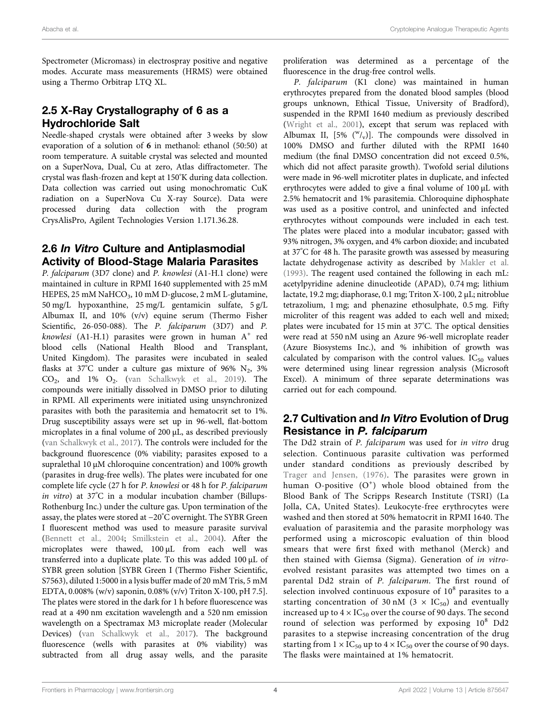Spectrometer (Micromass) in electrospray positive and negative modes. Accurate mass measurements (HRMS) were obtained using a Thermo Orbitrap LTQ XL.

# 2.5 X-Ray Crystallography of 6 as a Hydrochloride Salt

Needle-shaped crystals were obtained after 3 weeks by slow evaporation of a solution of 6 in methanol: ethanol (50:50) at room temperature. A suitable crystal was selected and mounted on a SuperNova, Dual, Cu at zero, Atlas diffractometer. The crystal was flash-frozen and kept at 150°K during data collection. Data collection was carried out using monochromatic CuK radiation on a SuperNova Cu X-ray Source). Data were processed during data collection with the program CrysAlisPro, Agilent Technologies Version 1.171.36.28.

# 2.6 In Vitro Culture and Antiplasmodial Activity of Blood-Stage Malaria Parasites

P. falciparum (3D7 clone) and P. knowlesi (A1-H.1 clone) were maintained in culture in RPMI 1640 supplemented with 25 mM HEPES, 25 mM NaHCO<sub>3</sub>, 10 mM D-glucose, 2 mM L-glutamine, 50 mg/L hypoxanthine, 25 mg/L gentamicin sulfate, 5 g/L Albumax II, and 10% (v/v) equine serum (Thermo Fisher Scientific, 26-050-088). The P. falciparum (3D7) and P. knowlesi (A1-H.1) parasites were grown in human  $A^+$  red blood cells (National Health Blood and Transplant, United Kingdom). The parasites were incubated in sealed flasks at  $37^{\circ}$ C under a culture gas mixture of 96% N<sub>2</sub>, 3%  $CO<sub>2</sub>$ , and 1%  $O<sub>2</sub>$ . ([van Schalkwyk et al., 2019\)](#page-10-14). The compounds were initially dissolved in DMSO prior to diluting in RPMI. All experiments were initiated using unsynchronized parasites with both the parasitemia and hematocrit set to 1%. Drug susceptibility assays were set up in 96-well, flat-bottom microplates in a final volume of 200 μL, as described previously ([van Schalkwyk et al., 2017\)](#page-10-15). The controls were included for the background fluorescence (0% viability; parasites exposed to a supralethal 10 μM chloroquine concentration) and 100% growth (parasites in drug-free wells). The plates were incubated for one complete life cycle (27 h for P. knowlesi or 48 h for P. falciparum in vitro) at 37° C in a modular incubation chamber (Billups-Rothenburg Inc.) under the culture gas. Upon termination of the assay, the plates were stored at −20° C overnight. The SYBR Green I fluorescent method was used to measure parasite survival ([Bennett et al., 2004](#page-9-2); [Smilkstein et al., 2004\)](#page-10-16). After the microplates were thawed, 100 μL from each well was transferred into a duplicate plate. To this was added 100 μL of SYBR green solution [SYBR Green I (Thermo Fisher Scientific, S7563), diluted 1:5000 in a lysis buffer made of 20 mM Tris, 5 mM EDTA, 0.008% (w/v) saponin, 0.08% (v/v) Triton X-100, pH 7.5]. The plates were stored in the dark for 1 h before fluorescence was read at a 490 nm excitation wavelength and a 520 nm emission wavelength on a Spectramax M3 microplate reader (Molecular Devices) ([van Schalkwyk et al., 2017\)](#page-10-15). The background fluorescence (wells with parasites at 0% viability) was subtracted from all drug assay wells, and the parasite

proliferation was determined as a percentage of the fluorescence in the drug-free control wells.

P. falciparum (K1 clone) was maintained in human erythrocytes prepared from the donated blood samples (blood groups unknown, Ethical Tissue, University of Bradford), suspended in the RPMI 1640 medium as previously described [\(Wright et al., 2001](#page-10-11)), except that serum was replaced with Albumax II,  $[5\% (\sqrt[W]{v})]$ . The compounds were dissolved in 100% DMSO and further diluted with the RPMI 1640 medium (the final DMSO concentration did not exceed 0.5%, which did not affect parasite growth). Twofold serial dilutions were made in 96-well microtiter plates in duplicate, and infected erythrocytes were added to give a final volume of 100 µL with 2.5% hematocrit and 1% parasitemia. Chloroquine diphosphate was used as a positive control, and uninfected and infected erythrocytes without compounds were included in each test. The plates were placed into a modular incubator; gassed with 93% nitrogen, 3% oxygen, and 4% carbon dioxide; and incubated at 37° C for 48 h. The parasite growth was assessed by measuring lactate dehydrogenase activity as described by [Makler et al.](#page-10-17) [\(1993\).](#page-10-17) The reagent used contained the following in each mL: acetylpyridine adenine dinucleotide (APAD), 0.74 mg; lithium lactate, 19.2 mg; diaphorase, 0.1 mg; Triton X-100, 2 μL; nitroblue tetrazolium, 1 mg; and phenazine ethosulphate, 0.5 mg. Fifty microliter of this reagent was added to each well and mixed; plates were incubated for 15 min at 37°C. The optical densities were read at 550 nM using an Azure 96-well microplate reader (Azure Biosystems Inc.), and % inhibition of growth was calculated by comparison with the control values.  $IC_{50}$  values were determined using linear regression analysis (Microsoft Excel). A minimum of three separate determinations was carried out for each compound.

# 2.7 Cultivation and In Vitro Evolution of Drug Resistance in P. falciparum

The Dd2 strain of P. falciparum was used for in vitro drug selection. Continuous parasite cultivation was performed under standard conditions as previously described by [Trager and Jensen, \(1976\)](#page-10-18). The parasites were grown in human O-positive  $(O<sup>+</sup>)$  whole blood obtained from the Blood Bank of The Scripps Research Institute (TSRI) (La Jolla, CA, United States). Leukocyte-free erythrocytes were washed and then stored at 50% hematocrit in RPMI 1640. The evaluation of parasitemia and the parasite morphology was performed using a microscopic evaluation of thin blood smears that were first fixed with methanol (Merck) and then stained with Giemsa (Sigma). Generation of in vitroevolved resistant parasites was attempted two times on a parental Dd2 strain of P. falciparum. The first round of selection involved continuous exposure of  $10^8$  parasites to a starting concentration of 30 nM (3  $\times$  IC<sub>50</sub>) and eventually increased up to  $4 \times IC_{50}$  over the course of 90 days. The second round of selection was performed by exposing  $10^8$  Dd2 parasites to a stepwise increasing concentration of the drug starting from  $1 \times IC_{50}$  up to  $4 \times IC_{50}$  over the course of 90 days. The flasks were maintained at 1% hematocrit.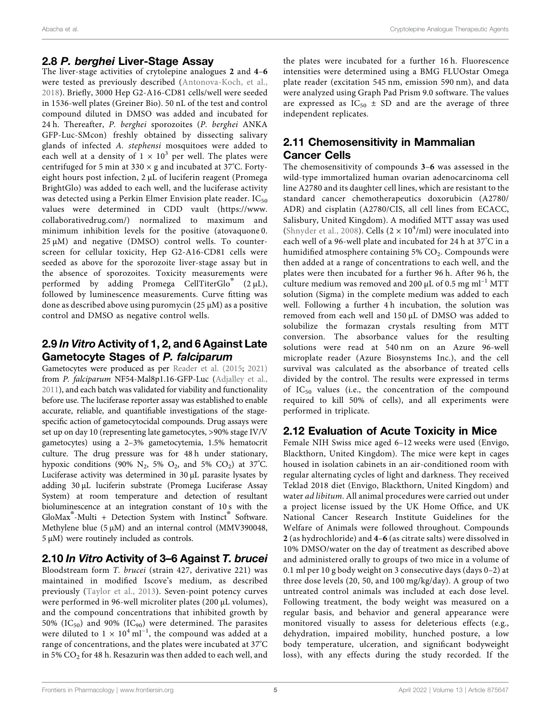## 2.8 P. berghei Liver-Stage Assay

The liver-stage activities of crytolepine analogues 2 and 4–6 were tested as previously described ([Antonova-Koch, et al.,](#page-9-3) [2018](#page-9-3)). Briefly, 3000 Hep G2-A16-CD81 cells/well were seeded in 1536-well plates (Greiner Bio). 50 nL of the test and control compound diluted in DMSO was added and incubated for 24 h. Thereafter, P. berghei sporozoites (P. berghei ANKA GFP-Luc-SMcon) freshly obtained by dissecting salivary glands of infected A. stephensi mosquitoes were added to each well at a density of  $1 \times 10^3$  per well. The plates were centrifuged for 5 min at 330  $\times$  g and incubated at 37°C. Fortyeight hours post infection, 2 μL of luciferin reagent (Promega BrightGlo) was added to each well, and the luciferase activity was detected using a Perkin Elmer Envision plate reader.  $IC_{50}$ values were determined in CDD vault [\(https://www.](https://www.collaborativedrug.com/) [collaborativedrug.com/](https://www.collaborativedrug.com/)) normalized to maximum and minimum inhibition levels for the positive (atovaquone 0.  $25 \mu M$ ) and negative (DMSO) control wells. To counterscreen for cellular toxicity, Hep G2-A16-CD81 cells were seeded as above for the sporozoite liver-stage assay but in the absence of sporozoites. Toxicity measurements were performed by adding Promega CellTiterGlo® (2 <sup>μ</sup>L), followed by luminescence measurements. Curve fitting was done as described above using puromycin (25 μM) as a positive control and DMSO as negative control wells.

# 2.9 In Vitro Activity of 1, 2, and 6 Against Late Gametocyte Stages of P. falciparum

Gametocytes were produced as per [Reader et al. \(2015;](#page-10-19) [2021\)](#page-10-20) from P. falciparum NF54-Mal8p1.16-GFP-Luc ([Adjalley et al.,](#page-9-4) [2011](#page-9-4)), and each batch was validated for viability and functionality before use. The luciferase reporter assay was established to enable accurate, reliable, and quantifiable investigations of the stagespecific action of gametocytocidal compounds. Drug assays were set up on day 10 (representing late gametocytes, >90% stage IV/V gametocytes) using a 2–3% gametocytemia, 1.5% hematocrit culture. The drug pressure was for 48 h under stationary, hypoxic conditions (90%  $N_2$ , 5%  $O_2$ , and 5%  $CO_2$ ) at 37°C. Luciferase activity was determined in 30 μL parasite lysates by adding 30 μL luciferin substrate (Promega Luciferase Assay System) at room temperature and detection of resultant bioluminescence at an integration constant of 10 s with the GloMax<sup>®</sup>-Multi + Detection System with Instinct<sup>®</sup> Software. Methylene blue (5 μM) and an internal control (MMV390048, 5 μM) were routinely included as controls.

# 2.10 In Vitro Activity of 3–6 Against T. brucei

Bloodstream form T. brucei (strain 427, derivative 221) was maintained in modified Iscove's medium, as described previously [\(Taylor et al., 2013](#page-10-21)). Seven-point potency curves were performed in 96-well microliter plates (200 μL volumes), and the compound concentrations that inhibited growth by 50% (IC<sub>50</sub>) and 90% (IC<sub>90</sub>) were determined. The parasites were diluted to  $1 \times 10^4$  ml<sup>-1</sup>, the compound was added at a range of concentrations, and the plates were incubated at 37°C in 5%  $CO<sub>2</sub>$  for 48 h. Resazurin was then added to each well, and

the plates were incubated for a further 16 h. Fluorescence intensities were determined using a BMG FLUOstar Omega plate reader (excitation 545 nm, emission 590 nm), and data were analyzed using Graph Pad Prism 9.0 software. The values are expressed as  $IC_{50} \pm SD$  and are the average of three independent replicates.

# 2.11 Chemosensitivity in Mammalian Cancer Cells

The chemosensitivity of compounds 3–6 was assessed in the wild-type immortalized human ovarian adenocarcinoma cell line A2780 and its daughter cell lines, which are resistant to the standard cancer chemotherapeutics doxorubicin (A2780/ ADR) and cisplatin (A2780/CIS, all cell lines from ECACC, Salisbury, United Kingdom). A modified MTT assay was used ([Shnyder et al., 2008](#page-10-22)). Cells ( $2 \times 10^4$ /ml) were inoculated into each well of a 96-well plate and incubated for 24 h at 37° C in a humidified atmosphere containing 5%  $CO<sub>2</sub>$ . Compounds were then added at a range of concentrations to each well, and the plates were then incubated for a further 96 h. After 96 h, the culture medium was removed and 200  $\mu$ L of 0.5 mg ml<sup>-1</sup> MTT solution (Sigma) in the complete medium was added to each well. Following a further 4 h incubation, the solution was removed from each well and 150 μL of DMSO was added to solubilize the formazan crystals resulting from MTT conversion. The absorbance values for the resulting solutions were read at 540 nm on an Azure 96-well microplate reader (Azure Biosynstems Inc.), and the cell survival was calculated as the absorbance of treated cells divided by the control. The results were expressed in terms of  $IC_{50}$  values (i.e., the concentration of the compound required to kill 50% of cells), and all experiments were performed in triplicate.

## 2.12 Evaluation of Acute Toxicity in Mice

Female NIH Swiss mice aged 6–12 weeks were used (Envigo, Blackthorn, United Kingdom). The mice were kept in cages housed in isolation cabinets in an air-conditioned room with regular alternating cycles of light and darkness. They received Teklad 2018 diet (Envigo, Blackthorn, United Kingdom) and water ad libitum. All animal procedures were carried out under a project license issued by the UK Home Office, and UK National Cancer Research Institute Guidelines for the Welfare of Animals were followed throughout. Compounds 2 (as hydrochloride) and 4–6 (as citrate salts) were dissolved in 10% DMSO/water on the day of treatment as described above and administered orally to groups of two mice in a volume of 0.1 ml per 10 g body weight on 3 consecutive days (days 0–2) at three dose levels (20, 50, and 100 mg/kg/day). A group of two untreated control animals was included at each dose level. Following treatment, the body weight was measured on a regular basis, and behavior and general appearance were monitored visually to assess for deleterious effects (e.g., dehydration, impaired mobility, hunched posture, a low body temperature, ulceration, and significant bodyweight loss), with any effects during the study recorded. If the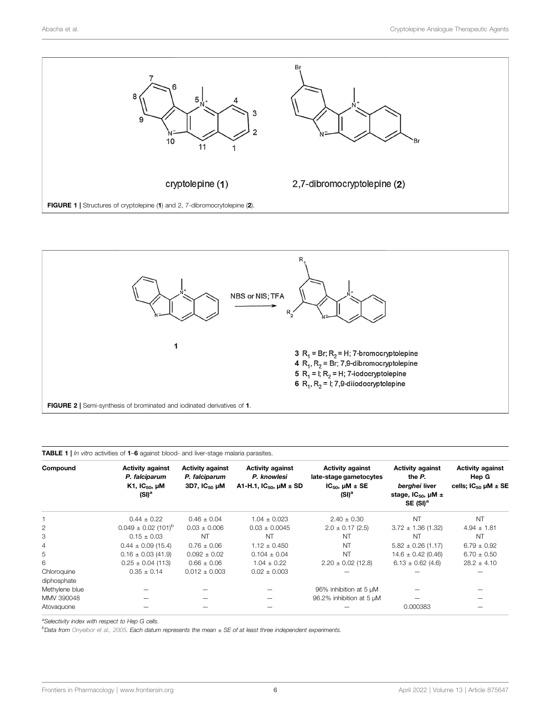

<span id="page-5-1"></span>

<span id="page-5-2"></span><span id="page-5-0"></span>

|  |  |  | <b>TABLE 1</b>   In vitro activities of 1–6 against blood- and liver-stage malaria parasites. |  |
|--|--|--|-----------------------------------------------------------------------------------------------|--|
|  |  |  |                                                                                               |  |

| Compound                   | <b>Activity against</b><br>P. falciparum<br>K1, $IC_{50}$ , $µM$<br>(SI) <sup>a</sup> | <b>Activity against</b><br>P. falciparum<br>$3D7,$ $1C_{50}$ $\mu$ M | <b>Activity against</b><br>P. knowlesi<br>A1-H.1, $IC_{50}$ , $\mu$ M $\pm$ SD | <b>Activity against</b><br>late-stage gametocytes<br>$IC50$ , $I/M \pm SE$<br>(SI) <sup>a</sup> | <b>Activity against</b><br>the P.<br>berghei liver<br>stage, $IC_{50}$ , $µM \pm$<br>SE(SI) <sup>a</sup> | <b>Activity against</b><br>Hep G<br>cells; $IC_{50} \mu M \pm SE$ |
|----------------------------|---------------------------------------------------------------------------------------|----------------------------------------------------------------------|--------------------------------------------------------------------------------|-------------------------------------------------------------------------------------------------|----------------------------------------------------------------------------------------------------------|-------------------------------------------------------------------|
|                            | $0.44 \pm 0.22$                                                                       | $0.46 \pm 0.04$                                                      | $1.04 \pm 0.023$                                                               | $2.40 \pm 0.30$                                                                                 | <b>NT</b>                                                                                                | <b>NT</b>                                                         |
| $\overline{2}$             | $0.049 \pm 0.02$ (101) <sup>b</sup>                                                   | $0.03 \pm 0.006$                                                     | $0.03 \pm 0.0045$                                                              | $2.0 \pm 0.17$ (2.5)                                                                            | $3.72 \pm 1.36$ (1.32)                                                                                   | $4.94 \pm 1.81$                                                   |
| З                          | $0.15 + 0.03$                                                                         | <b>NT</b>                                                            | <b>NT</b>                                                                      | NT                                                                                              | NT                                                                                                       | <b>NT</b>                                                         |
| 4                          | $0.44 \pm 0.09$ (15.4)                                                                | $0.76 \pm 0.06$                                                      | $1.12 \pm 0.450$                                                               | <b>NT</b>                                                                                       | $5.82 \pm 0.26$ (1.17)                                                                                   | $6.79 \pm 0.92$                                                   |
| 5                          | $0.16 \pm 0.03$ (41.9)                                                                | $0.092 \pm 0.02$                                                     | $0.104 \pm 0.04$                                                               | <b>NT</b>                                                                                       | $14.6 \pm 0.42$ (0.46)                                                                                   | $6.70 \pm 0.50$                                                   |
| 6                          | $0.25 \pm 0.04$ (113)                                                                 | $0.66 \pm 0.06$                                                      | $1.04 \pm 0.22$                                                                | $2.20 \pm 0.02$ (12.8)                                                                          | $6.13 \pm 0.62$ (4.6)                                                                                    | $28.2 \pm 4.10$                                                   |
| Chloroquine<br>diphosphate | $0.35 \pm 0.14$                                                                       | $0.012 \pm 0.003$                                                    | $0.02 \pm 0.003$                                                               |                                                                                                 |                                                                                                          |                                                                   |
| Methylene blue             |                                                                                       |                                                                      |                                                                                | 96% inhibition at 5 µM                                                                          |                                                                                                          |                                                                   |
| MMV 390048                 |                                                                                       |                                                                      |                                                                                | 96.2% inhibition at 5 µM                                                                        |                                                                                                          |                                                                   |
| Atovaguone                 |                                                                                       |                                                                      |                                                                                |                                                                                                 | 0.000383                                                                                                 |                                                                   |

<sup>a</sup>Selectivity index with respect to Hep G cells.

b Data from [Onyeibor et al., 2005.](#page-10-12) Each datum represents the mean ± SE of at least three independent experiments.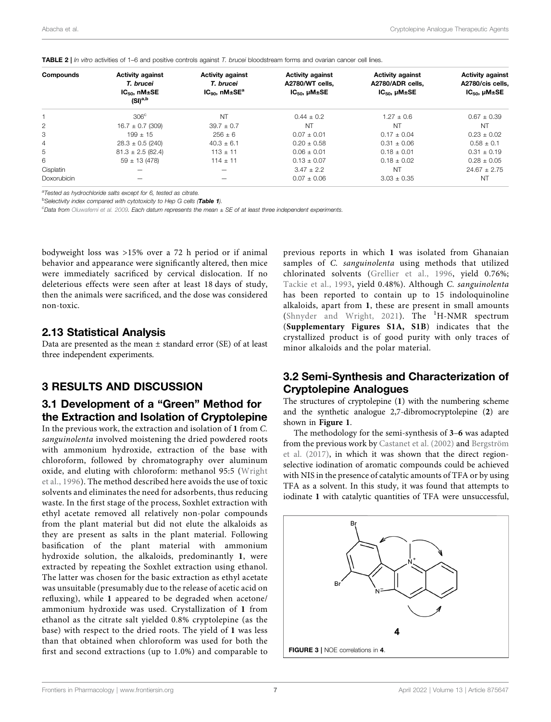<span id="page-6-1"></span>

|  | TABLE 2   In vitro activities of 1-6 and positive controls against T. brucei bloodstream forms and ovarian cancer cell lines. |
|--|-------------------------------------------------------------------------------------------------------------------------------|
|  |                                                                                                                               |

| Compounds      | <b>Activity against</b><br>T. brucei         | <b>Activity against</b><br>T. brucei | <b>Activity against</b><br>A2780/WT cells. | <b>Activity against</b><br>A2780/ADR cells. | <b>Activity against</b><br>A2780/cis cells, |
|----------------|----------------------------------------------|--------------------------------------|--------------------------------------------|---------------------------------------------|---------------------------------------------|
|                | $IC_{50}$ , nM $±$ SE<br>(SI) <sup>a,b</sup> | $IC_{90}$ , n $M \pm SE^a$           | $IC_{50}$ , $µM±SE$                        | $IC_{50}$ , $µM±SE$                         | $IC_{50}$ , $µM±SE$                         |
|                | 306 <sup>c</sup>                             | <b>NT</b>                            | $0.44 + 0.2$                               | $1.27 + 0.6$                                | $0.67 + 0.39$                               |
| 2              | $16.7 \pm 0.7$ (309)                         | $39.7 + 0.7$                         | <b>NT</b>                                  | <b>NT</b>                                   | <b>NT</b>                                   |
| 3              | $199 + 15$                                   | $256 + 6$                            | $0.07 + 0.01$                              | $0.17 + 0.04$                               | $0.23 + 0.02$                               |
| $\overline{4}$ | $28.3 \pm 0.5$ (240)                         | $40.3 \pm 6.1$                       | $0.20 + 0.58$                              | $0.31 + 0.06$                               | $0.58 \pm 0.1$                              |
| 5              | $81.3 \pm 2.5$ (82.4)                        | $113 \pm 11$                         | $0.06 + 0.01$                              | $0.18 + 0.01$                               | $0.31 + 0.19$                               |
| 6              | $59 \pm 13(478)$                             | $114 + 11$                           | $0.13 + 0.07$                              | $0.18 + 0.02$                               | $0.28 + 0.05$                               |
| Cisplatin      |                                              |                                      | $3.47 + 2.2$                               | <b>NT</b>                                   | $24.67 + 2.75$                              |
| Doxorubicin    |                                              |                                      | $0.07 \pm 0.06$                            | $3.03 \pm 0.35$                             | NT                                          |

<sup>a</sup>Tested as hydrochloride salts except for 6, tested as citrate.

<sup>b</sup>Selectivity index compared with cytotoxicity to Hep G cells ([Table 1](#page-5-2)).

<sup>c</sup>Data from [Oluwafemi et al. 2009](#page-10-13). Each datum represents the mean ± SE of at least three independent experiments.

bodyweight loss was >15% over a 72 h period or if animal behavior and appearance were significantly altered, then mice were immediately sacrificed by cervical dislocation. If no deleterious effects were seen after at least 18 days of study, then the animals were sacrificed, and the dose was considered non-toxic.

#### 2.13 Statistical Analysis

Data are presented as the mean  $\pm$  standard error (SE) of at least three independent experiments.

### 3 RESULTS AND DISCUSSION

### 3.1 Development of a "Green" Method for the Extraction and Isolation of Cryptolepine

In the previous work, the extraction and isolation of 1 from C. sanguinolenta involved moistening the dried powdered roots with ammonium hydroxide, extraction of the base with chloroform, followed by chromatography over aluminum oxide, and eluting with chloroform: methanol 95:5 ([Wright](#page-10-8) [et al., 1996](#page-10-8)). The method described here avoids the use of toxic solvents and eliminates the need for adsorbents, thus reducing waste. In the first stage of the process, Soxhlet extraction with ethyl acetate removed all relatively non-polar compounds from the plant material but did not elute the alkaloids as they are present as salts in the plant material. Following basification of the plant material with ammonium hydroxide solution, the alkaloids, predominantly 1, were extracted by repeating the Soxhlet extraction using ethanol. The latter was chosen for the basic extraction as ethyl acetate was unsuitable (presumably due to the release of acetic acid on refluxing), while 1 appeared to be degraded when acetone/ ammonium hydroxide was used. Crystallization of 1 from ethanol as the citrate salt yielded 0.8% cryptolepine (as the base) with respect to the dried roots. The yield of 1 was less than that obtained when chloroform was used for both the first and second extractions (up to 1.0%) and comparable to

previous reports in which 1 was isolated from Ghanaian samples of C. sanguinolenta using methods that utilized chlorinated solvents ([Grellier et al., 1996](#page-10-23), yield 0.76%; [Tackie et al., 1993](#page-10-24), yield 0.48%). Although C. sanguinolenta has been reported to contain up to 15 indoloquinoline alkaloids, apart from 1, these are present in small amounts ([Shnyder and Wright, 2021](#page-10-6)). The <sup>1</sup>H-NMR spectrum ([Supplementary Figures S1A, S1B](#page-9-5)) indicates that the crystallized product is of good purity with only traces of minor alkaloids and the polar material.

### 3.2 Semi-Synthesis and Characterization of Cryptolepine Analogues

The structures of cryptolepine (1) with the numbering scheme and the synthetic analogue 2,7-dibromocryptolepine (2) are shown in [Figure 1](#page-5-1).

The methodology for the semi-synthesis of 3–6 was adapted from the previous work by [Castanet et al. \(2002\)](#page-10-25) and [Bergström](#page-9-6) [et al. \(2017\),](#page-9-6) in which it was shown that the direct regionselective iodination of aromatic compounds could be achieved with NIS in the presence of catalytic amounts of TFA or by using TFA as a solvent. In this study, it was found that attempts to iodinate 1 with catalytic quantities of TFA were unsuccessful,

<span id="page-6-0"></span>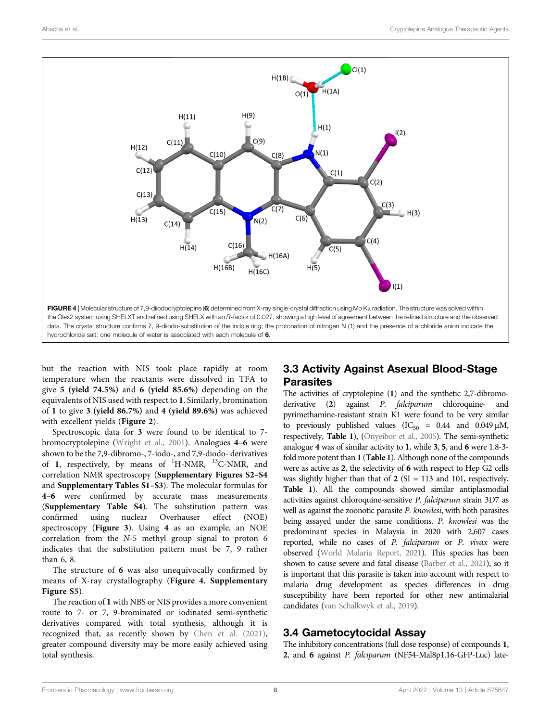

<span id="page-7-0"></span>but the reaction with NIS took place rapidly at room temperature when the reactants were dissolved in TFA to give 5 (yield 74.5%) and 6 (yield 85.6%) depending on the equivalents of NIS used with respect to 1. Similarly, bromination of 1 to give 3 (yield 86.7%) and 4 (yield 89.6%) was achieved with excellent yields ([Figure 2](#page-5-0)).

Spectroscopic data for 3 were found to be identical to 7 bromocryptolepine [\(Wright et al., 2001](#page-10-11)). Analogues 4–6 were shown to be the 7,9-dibromo-, 7-iodo-, and 7,9-diodo- derivatives of 1, respectively, by means of <sup>1</sup>H-NMR, <sup>13</sup>C-NMR, and correlation NMR spectroscopy ([Supplementary Figures S2](#page-9-5)–[S4](#page-9-5) and [Supplementary Tables S1](#page-9-5)–[S3](#page-9-5)). The molecular formulas for 4–6 were confirmed by accurate mass measurements ([Supplementary Table S4](#page-9-5)). The substitution pattern was confirmed using nuclear Overhauser effect (NOE) spectroscopy ([Figure 3](#page-6-0)). Using 4 as an example, an NOE correlation from the N-5 methyl group signal to proton 6 indicates that the substitution pattern must be 7, 9 rather than 6, 8.

The structure of 6 was also unequivocally confirmed by means of X-ray crystallography ([Figure 4](#page-7-0), [Supplementary](#page-9-5) [Figure S5](#page-9-5)).

The reaction of 1 with NBS or NIS provides a more convenient route to 7- or 7, 9-brominated or iodinated semi-synthetic derivatives compared with total synthesis, although it is recognized that, as recently shown by [Chen et al. \(2021\)](#page-10-26), greater compound diversity may be more easily achieved using total synthesis.

# 3.3 Activity Against Asexual Blood-Stage Parasites

The activities of cryptolepine (1) and the synthetic 2,7-dibromoderivative (2) against P. falciparum chloroquine- and pyrimethamine-resistant strain K1 were found to be very similar to previously published values ( $IC_{50} = 0.44$  and  $0.049 \mu M$ , respectively, [Table 1](#page-5-2)), [\(Onyeibor et al., 2005\)](#page-10-12). The semi-synthetic analogue 4 was of similar activity to 1, while 3, 5, and 6 were 1.8-3 fold more potent than 1 ([Table 1](#page-5-2)). Although none of the compounds were as active as 2, the selectivity of 6 with respect to Hep G2 cells was slightly higher than that of  $2$  (SI = 113 and 101, respectively, [Table 1](#page-5-2)). All the compounds showed similar antiplasmodial activities against chloroquine-sensitive P. falciparum strain 3D7 as well as against the zoonotic parasite P. knowlesi, with both parasites being assayed under the same conditions. P. knowlesi was the predominant species in Malaysia in 2020 with 2,607 cases reported, while no cases of P. falciparum or P. vivax were observed [\(World Malaria Report, 2021\)](#page-10-0). This species has been shown to cause severe and fatal disease [\(Barber et al., 2021\)](#page-9-7), so it is important that this parasite is taken into account with respect to malaria drug development as species differences in drug susceptibility have been reported for other new antimalarial candidates [\(van Schalkwyk et al., 2019\)](#page-10-14).

# 3.4 Gametocytocidal Assay

The inhibitory concentrations (full dose response) of compounds 1, 2, and 6 against P. falciparum (NF54-Mal8p1.16-GFP-Luc) late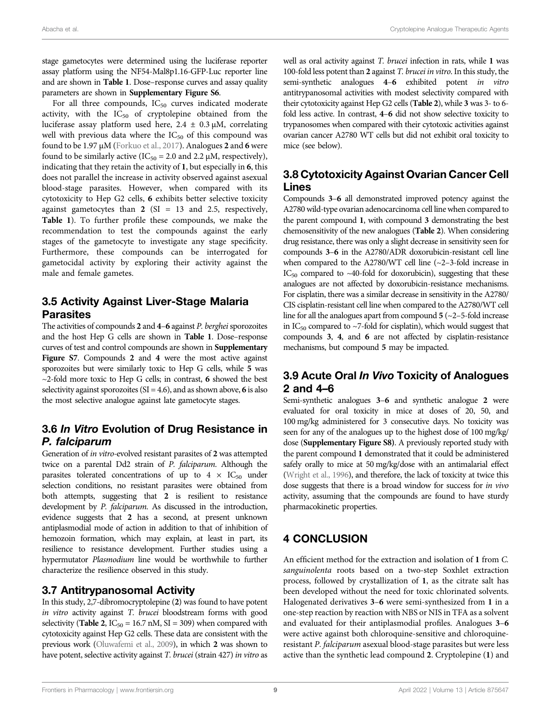stage gametocytes were determined using the luciferase reporter assay platform using the NF54-Mal8p1.16-GFP-Luc reporter line and are shown in [Table 1](#page-5-2). Dose–response curves and assay quality parameters are shown in [Supplementary Figure S6](#page-9-5).

For all three compounds,  $IC_{50}$  curves indicated moderate activity, with the  $IC_{50}$  of cryptolepine obtained from the luciferase assay platform used here,  $2.4 \pm 0.3 \mu M$ , correlating well with previous data where the  $IC_{50}$  of this compound was found to be 1.97 μM [\(Forkuo et al., 2017\)](#page-10-27). Analogues 2 and 6 were found to be similarly active (IC<sub>50</sub> = 2.0 and 2.2  $\mu$ M, respectively), indicating that they retain the activity of 1, but especially in 6, this does not parallel the increase in activity observed against asexual blood-stage parasites. However, when compared with its cytotoxicity to Hep G2 cells, 6 exhibits better selective toxicity against gametocytes than  $2$  (SI = 13 and 2.5, respectively, [Table 1](#page-5-2)). To further profile these compounds, we make the recommendation to test the compounds against the early stages of the gametocyte to investigate any stage specificity. Furthermore, these compounds can be interrogated for gametocidal activity by exploring their activity against the male and female gametes.

# 3.5 Activity Against Liver-Stage Malaria Parasites

The activities of compounds  $2$  and  $4-6$  against  $P$ . berghei sporozoites and the host Hep G cells are shown in [Table 1](#page-5-2). Dose–response curves of test and control compounds are shown in [Supplementary](#page-9-5) [Figure S7](#page-9-5). Compounds 2 and 4 were the most active against sporozoites but were similarly toxic to Hep G cells, while 5 was  $\sim$ 2-fold more toxic to Hep G cells; in contrast, 6 showed the best selectivity against sporozoites ( $SI = 4.6$ ), and as shown above, 6 is also the most selective analogue against late gametocyte stages.

# 3.6 In Vitro Evolution of Drug Resistance in P. falciparum

Generation of in vitro-evolved resistant parasites of 2 was attempted twice on a parental Dd2 strain of P. falciparum. Although the parasites tolerated concentrations of up to  $4 \times IC_{50}$  under selection conditions, no resistant parasites were obtained from both attempts, suggesting that 2 is resilient to resistance development by P. falciparum. As discussed in the introduction, evidence suggests that 2 has a second, at present unknown antiplasmodial mode of action in addition to that of inhibition of hemozoin formation, which may explain, at least in part, its resilience to resistance development. Further studies using a hypermutator Plasmodium line would be worthwhile to further characterize the resilience observed in this study.

### 3.7 Antitrypanosomal Activity

In this study, 2,7-dibromocryptolepine (2) was found to have potent in vitro activity against T. brucei bloodstream forms with good selectivity ([Table 2](#page-6-1),  $IC_{50} = 16.7$  nM,  $SI = 309$ ) when compared with cytotoxicity against Hep G2 cells. These data are consistent with the previous work [\(Oluwafemi et al., 2009\)](#page-10-13), in which 2 was shown to have potent, selective activity against T. brucei (strain 427) in vitro as

well as oral activity against T. brucei infection in rats, while 1 was 100-fold less potent than 2 against T. brucei in vitro. In this study, the semi-synthetic analogues 4–6 exhibited potent in vitro antitrypanosomal activities with modest selectivity compared with their cytotoxicity against Hep G2 cells ([Table 2](#page-6-1)), while 3 was 3- to 6 fold less active. In contrast, 4–6 did not show selective toxicity to trypanosomes when compared with their cytotoxic activities against ovarian cancer A2780 WT cells but did not exhibit oral toxicity to mice (see below).

## 3.8 Cytotoxicity Against Ovarian Cancer Cell Lines

Compounds 3–6 all demonstrated improved potency against the A2780 wild-type ovarian adenocarcinoma cell line when compared to the parent compound 1, with compound 3 demonstrating the best chemosensitivity of the new analogues ([Table 2](#page-6-1)). When considering drug resistance, there was only a slight decrease in sensitivity seen for compounds 3–6 in the A2780/ADR doxorubicin-resistant cell line when compared to the A2780/WT cell line (~2–3-fold increase in  $IC_{50}$  compared to ~40-fold for doxorubicin), suggesting that these analogues are not affected by doxorubicin-resistance mechanisms. For cisplatin, there was a similar decrease in sensitivity in the A2780/ CIS cisplatin-resistant cell line when compared to the A2780/WT cell line for all the analogues apart from compound 5 (~2–5-fold increase in IC<sub>50</sub> compared to  $\sim$ 7-fold for cisplatin), which would suggest that compounds 3, 4, and 6 are not affected by cisplatin-resistance mechanisms, but compound 5 may be impacted.

### 3.9 Acute Oral In Vivo Toxicity of Analogues 2 and 4–6

Semi-synthetic analogues 3–6 and synthetic analogue 2 were evaluated for oral toxicity in mice at doses of 20, 50, and 100 mg/kg administered for 3 consecutive days. No toxicity was seen for any of the analogues up to the highest dose of 100 mg/kg/ dose ([Supplementary Figure S8](#page-9-5)). A previously reported study with the parent compound 1 demonstrated that it could be administered safely orally to mice at 50 mg/kg/dose with an antimalarial effect [\(Wright et al., 1996\)](#page-10-8), and therefore, the lack of toxicity at twice this dose suggests that there is a broad window for success for in vivo activity, assuming that the compounds are found to have sturdy pharmacokinetic properties.

# 4 CONCLUSION

An efficient method for the extraction and isolation of 1 from C. sanguinolenta roots based on a two-step Soxhlet extraction process, followed by crystallization of 1, as the citrate salt has been developed without the need for toxic chlorinated solvents. Halogenated derivatives 3–6 were semi-synthesized from 1 in a one-step reaction by reaction with NBS or NIS in TFA as a solvent and evaluated for their antiplasmodial profiles. Analogues 3–6 were active against both chloroquine-sensitive and chloroquineresistant P. falciparum asexual blood-stage parasites but were less active than the synthetic lead compound 2. Cryptolepine (1) and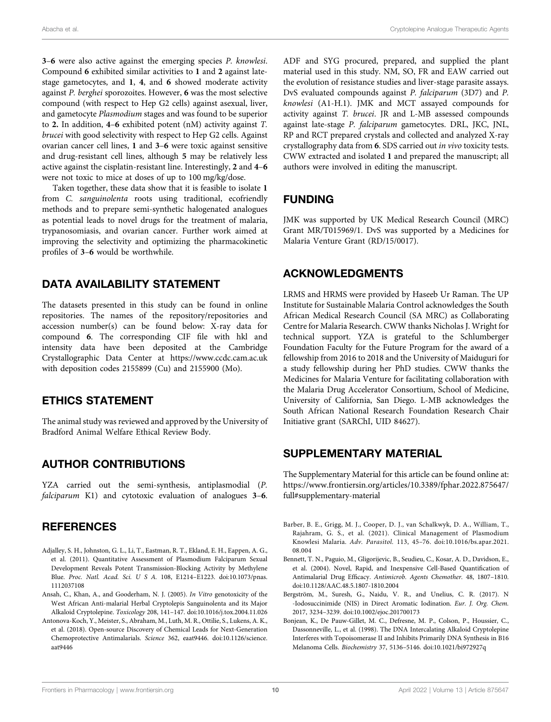3–6 were also active against the emerging species P. knowlesi. Compound 6 exhibited similar activities to 1 and 2 against latestage gametocytes, and 1, 4, and 6 showed moderate activity against P. berghei sporozoites. However, 6 was the most selective compound (with respect to Hep G2 cells) against asexual, liver, and gametocyte Plasmodium stages and was found to be superior to 2. In addition,  $4-6$  exhibited potent (nM) activity against  $T$ . brucei with good selectivity with respect to Hep G2 cells. Against ovarian cancer cell lines, 1 and 3–6 were toxic against sensitive and drug-resistant cell lines, although 5 may be relatively less active against the cisplatin-resistant line. Interestingly, 2 and 4–6 were not toxic to mice at doses of up to 100 mg/kg/dose.

Taken together, these data show that it is feasible to isolate 1 from C. sanguinolenta roots using traditional, ecofriendly methods and to prepare semi-synthetic halogenated analogues as potential leads to novel drugs for the treatment of malaria, trypanosomiasis, and ovarian cancer. Further work aimed at improving the selectivity and optimizing the pharmacokinetic profiles of 3–6 would be worthwhile.

### DATA AVAILABILITY STATEMENT

The datasets presented in this study can be found in online repositories. The names of the repository/repositories and accession number(s) can be found below: X-ray data for compound 6. The corresponding CIF file with hkl and intensity data have been deposited at the Cambridge Crystallographic Data Center at<https://www.ccdc.cam.ac.uk> with deposition codes 2155899 (Cu) and 2155900 (Mo).

### ETHICS STATEMENT

The animal study was reviewed and approved by the University of Bradford Animal Welfare Ethical Review Body.

### AUTHOR CONTRIBUTIONS

YZA carried out the semi-synthesis, antiplasmodial (P. falciparum K1) and cytotoxic evaluation of analogues 3-6.

### **REFERENCES**

- <span id="page-9-4"></span>Adjalley, S. H., Johnston, G. L., Li, T., Eastman, R. T., Ekland, E. H., Eappen, A. G., et al. (2011). Quantitative Assessment of Plasmodium Falciparum Sexual Development Reveals Potent Transmission-Blocking Activity by Methylene Blue. Proc. Natl. Acad. Sci. U S A. 108, E1214–E1223. doi:[10.1073/pnas.](https://doi.org/10.1073/pnas.1112037108) [1112037108](https://doi.org/10.1073/pnas.1112037108)
- <span id="page-9-1"></span>Ansah, C., Khan, A., and Gooderham, N. J. (2005). In Vitro genotoxicity of the West African Anti-malarial Herbal Cryptolepis Sanguinolenta and its Major Alkaloid Cryptolepine. Toxicology 208, 141–147. doi[:10.1016/j.tox.2004.11.026](https://doi.org/10.1016/j.tox.2004.11.026)
- <span id="page-9-3"></span>Antonova-Koch, Y., Meister, S., Abraham, M., Luth, M. R., Ottilie, S., Lukens, A. K., et al. (2018). Open-source Discovery of Chemical Leads for Next-Generation Chemoprotective Antimalarials. Science 362, eaat9446. doi:[10.1126/science.](https://doi.org/10.1126/science.aat9446) [aat9446](https://doi.org/10.1126/science.aat9446)

ADF and SYG procured, prepared, and supplied the plant material used in this study. NM, SO, FR and EAW carried out the evolution of resistance studies and liver-stage parasite assays. DvS evaluated compounds against P. falciparum (3D7) and P. knowlesi (A1-H.1). JMK and MCT assayed compounds for activity against T. brucei. JR and L-MB assessed compounds against late-stage P. falciparum gametocytes. DRL, JKC, JNL, RP and RCT prepared crystals and collected and analyzed X-ray crystallography data from 6. SDS carried out in vivo toxicity tests. CWW extracted and isolated 1 and prepared the manuscript; all authors were involved in editing the manuscript.

### FUNDING

JMK was supported by UK Medical Research Council (MRC) Grant MR/T015969/1. DvS was supported by a Medicines for Malaria Venture Grant (RD/15/0017).

### ACKNOWLEDGMENTS

LRMS and HRMS were provided by Haseeb Ur Raman. The UP Institute for Sustainable Malaria Control acknowledges the South African Medical Research Council (SA MRC) as Collaborating Centre for Malaria Research. CWW thanks Nicholas J. Wright for technical support. YZA is grateful to the Schlumberger Foundation Faculty for the Future Program for the award of a fellowship from 2016 to 2018 and the University of Maiduguri for a study fellowship during her PhD studies. CWW thanks the Medicines for Malaria Venture for facilitating collaboration with the Malaria Drug Accelerator Consortium, School of Medicine, University of California, San Diego. L-MB acknowledges the South African National Research Foundation Research Chair Initiative grant (SARChI, UID 84627).

### <span id="page-9-5"></span>SUPPLEMENTARY MATERIAL

The Supplementary Material for this article can be found online at: [https://www.frontiersin.org/articles/10.3389/fphar.2022.875647/](https://www.frontiersin.org/articles/10.3389/fphar.2022.875647/full#supplementary-material) [full#supplementary-material](https://www.frontiersin.org/articles/10.3389/fphar.2022.875647/full#supplementary-material)

- <span id="page-9-7"></span>Barber, B. E., Grigg, M. J., Cooper, D. J., van Schalkwyk, D. A., William, T., Rajahram, G. S., et al. (2021). Clinical Management of Plasmodium Knowlesi Malaria. Adv. Parasitol. 113, 45–76. doi[:10.1016/bs.apar.2021.](https://doi.org/10.1016/bs.apar.2021.08.004) [08.004](https://doi.org/10.1016/bs.apar.2021.08.004)
- <span id="page-9-2"></span>Bennett, T. N., Paguio, M., Gligorijevic, B., Seudieu, C., Kosar, A. D., Davidson, E., et al. (2004). Novel, Rapid, and Inexpensive Cell-Based Quantification of Antimalarial Drug Efficacy. Antimicrob. Agents Chemother. 48, 1807–1810. doi[:10.1128/AAC.48.5.1807-1810.2004](https://doi.org/10.1128/AAC.48.5.1807-1810.2004)
- <span id="page-9-6"></span>Bergström, M., Suresh, G., Naidu, V. R., and Unelius, C. R. (2017). N -Iodosuccinimide (NIS) in Direct Aromatic Iodination. Eur. J. Org. Chem. 2017, 3234–3239. doi[:10.1002/ejoc.201700173](https://doi.org/10.1002/ejoc.201700173)
- <span id="page-9-0"></span>Bonjean, K., De Pauw-Gillet, M. C., Defresne, M. P., Colson, P., Houssier, C., Dassonneville, L., et al. (1998). The DNA Intercalating Alkaloid Cryptolepine Interferes with Topoisomerase II and Inhibits Primarily DNA Synthesis in B16 Melanoma Cells. Biochemistry 37, 5136–5146. doi:[10.1021/bi972927q](https://doi.org/10.1021/bi972927q)